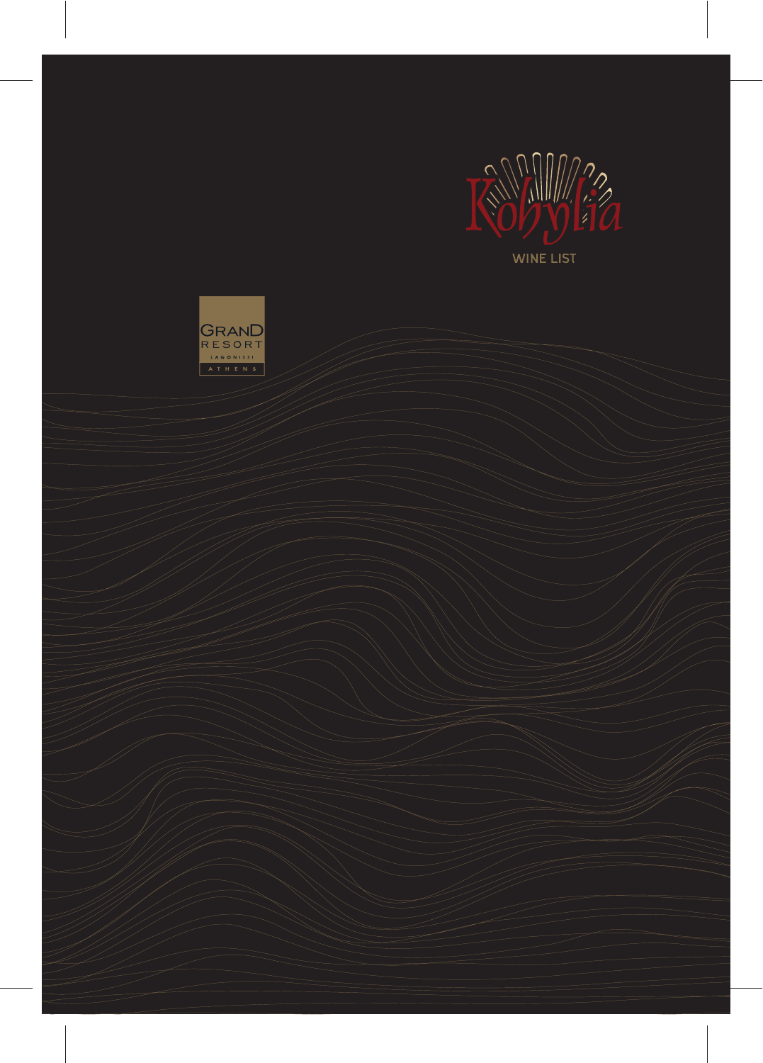

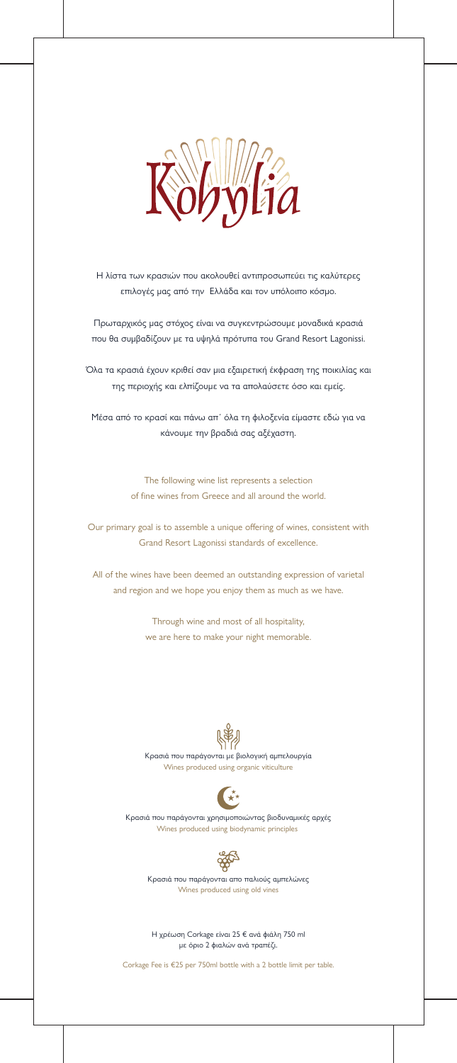

Η λίστα των κρασιών που ακολουθεί αντιπροσωπεύει τις καλύτερες επιλογές μας από την Ελλάδα και τον υπόλοιπο κόσμο.

Πρωταρχικός μας στόχος είναι να συγκεντρώσουμε μοναδικά κρασιά που θα συμβαδίζουν με τα υψηλά πρότυπα του Grand Resort Lagonissi.

> The following wine list represents a selection of fine wines from Greece and all around the world.

Όλα τα κρασιά έχουν κριθεί σαν μια εξαιρετική έκφραση της ποικιλίας και της περιοχής και ελπίζουμε να τα απολαύσετε όσο και εμείς.

Our primary goal is to assemble a unique offering of wines, consistent with Grand Resort Lagonissi standards of excellence.

Μέσα από το κρασί και πάνω απ΄ όλα τη φιλοξενία είμαστε εδώ για να κάνουμε την βραδιά σας αξέχαστη.

All of the wines have been deemed an outstanding expression of varietal and region and we hope you enjoy them as much as we have.

> Through wine and most of all hospitality, we are here to make your night memorable.



#### Η χρέωση Corkage είναι 25 € ανά φιάλη 750 ml με όριο 2 φιαλών ανά τραπέζι.

Corkage Fee is €25 per 750ml bottle with a 2 bottle limit per table.

Κρασιά που παράγονται με βιολογική αμπελουργία Wines produced using organic viticulture



Κρασιά που παράγονται χρησιμοποιώντας βιοδυναμικές αρχές Wines produced using biodynamic principles



#### Κρασιά που παράγονται απο παλιούς αμπελώνες Wines produced using old vines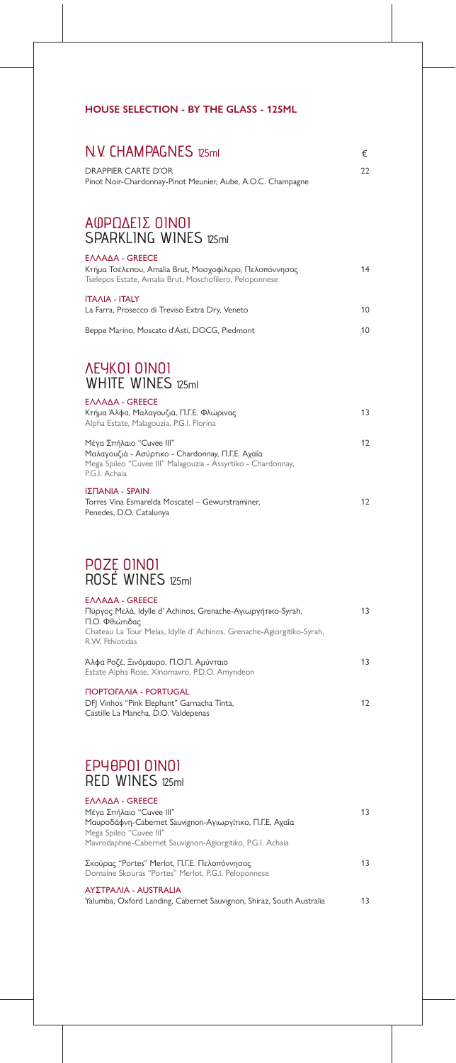| EAAAA - GREECE                                                        |    |
|-----------------------------------------------------------------------|----|
| Πύργος Μελά, Idylle d' Achinos, Grenache-Αγιωργήτικο-Syrah,           | 13 |
| Π.Ο. Φθιώτιδας                                                        |    |
| Chateau La Tour Melas, Idylle d' Achinos, Grenache-Agiorgitiko-Syrah, |    |
| R.W. Fthiotidas                                                       |    |
|                                                                       |    |
| Άλφα Ροζέ, Ξινόμαυρο, Π.Ο.Π. Αμύνταιο                                 | 13 |
| Estate Alpha Rose, Xinomavro, P.D.O. Amyndeon                         |    |
| <b>NOPTOFAAIA - PORTUGAL</b>                                          |    |
| DFJ Vinhos "Pink Elephant" Garnacha Tinta,                            | 12 |
| Castille La Mancha, D.O. Valdepenas                                   |    |
|                                                                       |    |

ΕΛΛΑΔΑ - GREECE

Μέγα Σπήλαιο "Cuvee III" Μαυροδάφνη-Cabernet Sauvignon-Αγιωργίτικο, Π.Γ.Ε. Αχαΐα Mega Spileo "Cuvee III" Mavrodaphne-Cabernet Sauvignon-Agiorgitiko, P.G.I. Achaia

Σκούρας "Portes" Merlot, Π.Γ.Ε. Πελοπόννησος Domaine Skouras "Portes" Merlot, P.G.I. Peloponnese 13

#### ΕΛΛΑΔΑ - GREECE

Yalumba, Oxford Landing, Cabernet Sauvignon, Shiraz, South Australia 13

#### ΑΥΣΤΡΑΛΙΑ - AUSTRALIA

### **HOUSE SELECTION - BY THE GLASS - 125ML**

### DRAPPIER CARTE D'OR Pinot Noir-Chardonnay-Pinot Meunier, Aube, A.O.C. Champagne 22 Κτήμα Τσέλεπου, Amalia Brut, Μοσχοφίλερο, Πελοπόννησος Tselepos Estate, Amalia Brut, Moschofilero, Peloponnese 14 ΕΛΛΑΔΑ - GREECE La Farra, Prosecco di Treviso Extra Dry, Veneto Beppe Marino, Moscato d'Asti, DOCG, Piedmont 10 10 ΙΤΑΛΙΑ - ITALY Κτήμα Άλφα, Μαλαγουζιά, Π.Γ.Ε. Φλώρινας Alpha Estate, Malagouzia, P.G.I. Florina Μέγα Σπήλαιο "Cuvee III" Μαλαγουζιά - Ασύρτικο - Chardonnay, Π.Γ.Ε. Αχαΐα Mega Spileo "Cuvee III" Malagouzia - Assyrtiko - Chardonnay, P.G.I. Achaia 13 12 ΕΛΛΑΔΑ - GREECE Torres Vina Esmarelda Moscatel – Gewurstraminer, Penedes, D.O. Catalunya 12 ΙΣΠΑΝΙΑ - SPAIN  $N. V.$  CHAMPAGNES 125ml  $\epsilon$ ΑΦΡΩΔΕΙΣ ΟΙΝΟΙ SPARKI ING WINES 125ml ΛΕΥΚΟΙ ΟΙΝΟΙ WHITE WINES 125ml

### ΡΟΖΕ ΟΙΝΟΙ ROSÉ WINES 125ml

## ΕΡΥΘΡΟΙ ΟΙΝΟΙ

# RED WINES 125ml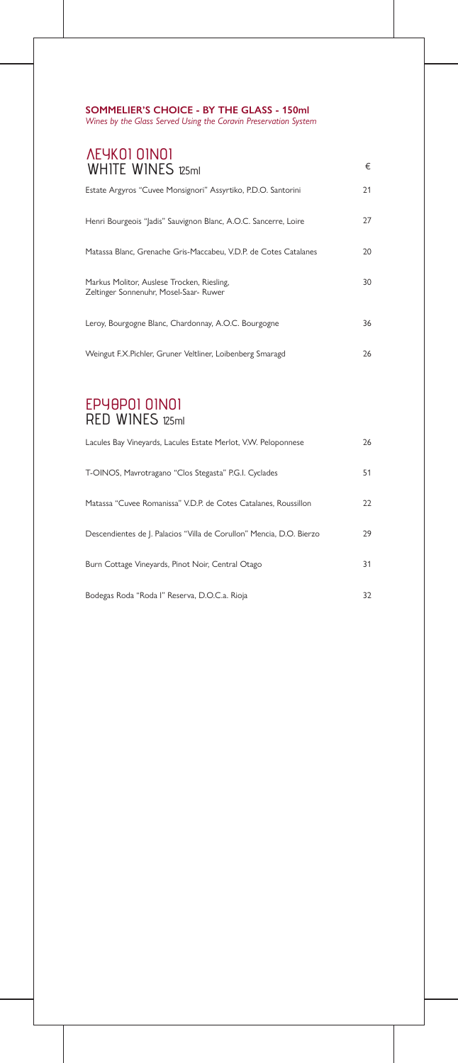| <b><i>AEYKOI OINOI</i></b><br><b>WHITE WINES 125ml</b>                               | €  |
|--------------------------------------------------------------------------------------|----|
| Estate Argyros "Cuvee Monsignori" Assyrtiko, P.D.O. Santorini                        | 21 |
| Henri Bourgeois "Jadis" Sauvignon Blanc, A.O.C. Sancerre, Loire                      | 27 |
| Matassa Blanc, Grenache Gris-Maccabeu, V.D.P. de Cotes Catalanes                     | 20 |
| Markus Molitor, Auslese Trocken, Riesling,<br>Zeltinger Sonnenuhr, Mosel-Saar- Ruwer | 30 |
| Leroy, Bourgogne Blanc, Chardonnay, A.O.C. Bourgogne                                 | 36 |
| Weingut F.X. Pichler, Gruner Veltliner, Loibenberg Smaragd                           | 26 |

| Lacules Bay Vineyards, Lacules Estate Merlot, V.W. Peloponnese       | 26 |
|----------------------------------------------------------------------|----|
| T-OINOS, Mavrotragano "Clos Stegasta" P.G.I. Cyclades                | 51 |
| Matassa "Cuvee Romanissa" V.D.P. de Cotes Catalanes, Roussillon      | 22 |
| Descendientes de J. Palacios "Villa de Corullon" Mencia, D.O. Bierzo | 29 |
| Burn Cottage Vineyards, Pinot Noir, Central Otago                    | 31 |
| Bodegas Roda "Roda l" Reserva, D.O.C.a. Rioja                        | 32 |

### **SOMMELIER'S CHOICE - BY THE GLASS - 150ml**

*Wines by the Glass Served Using the Coravin Preservation System*

### ΕΡΥΘΡΟΙ ΟΙΝΟΙ RED WINES 125ml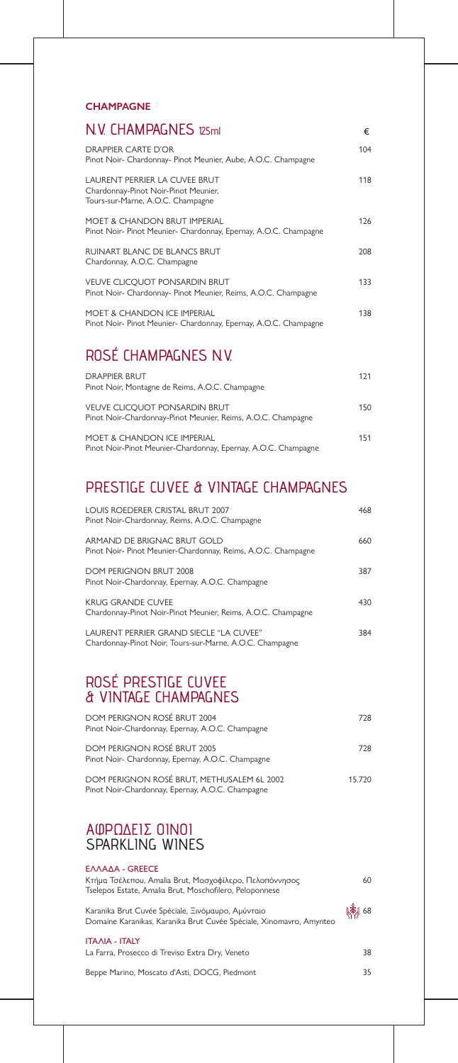| <b>DOM PERIGNON ROSÉ BRUT 2004</b><br>Pinot Noir-Chardonnay, Epernay, A.O.C. Champagne | 728 |
|----------------------------------------------------------------------------------------|-----|
| DOM PERIGNON ROSÉ BRUT 2005<br>Pinot Noir- Chardonnay, Epernay, A.O.C. Champagne       | 728 |

Κτήμα Τσέλεπου, Amalia Brut, Μοσχοφίλερο, Πελοπόννησος Tselepos Estate, Amalia Brut, Moschofilero, Peloponnese

DOM PERIGNON ROSÉ BRUT, METHUSALEM 6L 2002 Pinot Noir-Chardonnay, Epernay, A.O.C. Champagne

Karanika Brut Cuvée Spéciale, Ξινόμαυρο, Αμύνταιο Domaine Karanikas, Karanika Brut Cuvée Spéciale, Xinomavro, Amynteo

#### ΕΛΛΑΔΑ - GREECE

La Farra, Prosecco di Treviso Extra Dry, Veneto

Beppe Marino, Moscato d'Asti, DOCG, Piedmont



35

(潮 68

#### ΙΤΑΛΙΑ - ITALY

### **CHAMPAGNE**

| N.V. CHAMPAGNES 125ml                                                                                      | €    |
|------------------------------------------------------------------------------------------------------------|------|
| DRAPPIFR CARTF D'OR<br>Pinot Noir- Chardonnay- Pinot Meunier, Aube, A.O.C. Champagne                       | 104  |
| LAURENT PERRIER LA CUVEE BRUT<br>Chardonnay-Pinot Noir-Pinot Meunier,<br>Tours-sur-Marne, A.O.C. Champagne | 118  |
| MOFT & CHANDON BRUT IMPERIAL<br>Pinot Noir- Pinot Meunier- Chardonnay, Epernay, A.O.C. Champagne           | 126  |
| <b>RUINART BLANC DE BLANCS BRUT</b><br>Chardonnay, A.O.C. Champagne                                        | 208  |
| <b>VEUVE CLICQUOT PONSARDIN BRUT</b><br>Pinot Noir- Chardonnay- Pinot Meunier, Reims, A.O.C. Champagne     | 133  |
| <b>MOET &amp; CHANDON ICE IMPERIAL</b><br>Pinot Noir- Pinot Meunier- Chardonnay, Epernay, A.O.C. Champagne | 138. |
|                                                                                                            |      |

| <b>DRAPPIFR BRUT</b>                                                                                 | 171 |
|------------------------------------------------------------------------------------------------------|-----|
| Pinot Noir, Montagne de Reims, A.O.C. Champagne                                                      |     |
| <b>VEUVE CLICQUOT PONSARDIN BRUT</b><br>Pinot Noir-Chardonnay-Pinot Meunier, Reims, A.O.C. Champagne | 150 |
| MOFT & CHANDON ICF IMPERIAL<br>Pinot Noir-Pinot Meunier-Chardonnay, Epernay, A.O.C. Champagne        | 151 |

# ROSÉ CHAMPAGNES N.V.

| LOUIS ROEDERER CRISTAL BRUT 2007<br>Pinot Noir-Chardonnay, Reims, A.O.C. Champagne                  | 468 |
|-----------------------------------------------------------------------------------------------------|-----|
| ARMAND DE BRIGNAC BRUT GOLD<br>Pinot Noir- Pinot Meunier-Chardonnay, Reims, A.O.C. Champagne        | 660 |
| DOM PERIGNON BRUT 2008<br>Pinot Noir-Chardonnay, Epernay, A.O.C. Champagne                          | 387 |
| <b>KRUG GRANDE CUVEE</b><br>Chardonnay-Pinot Noir-Pinot Meunier, Reims, A.O.C. Champagne            | 430 |
| LAURENT PERRIER GRAND SIECLE "LA CUVEE"<br>Chardonnay-Pinot Noir, Tours-sur-Marne, A.O.C. Champagne | 384 |

# PRESTIGE CUVEE & VINTAGE CHAMPAGNES

## ROSÉ PRESTIGE CUVEE & VINTAGE CHAMPAGNES

### ΑΦΡΩΔΕΙΣ ΟΙΝΟΙ SPARKLING WINES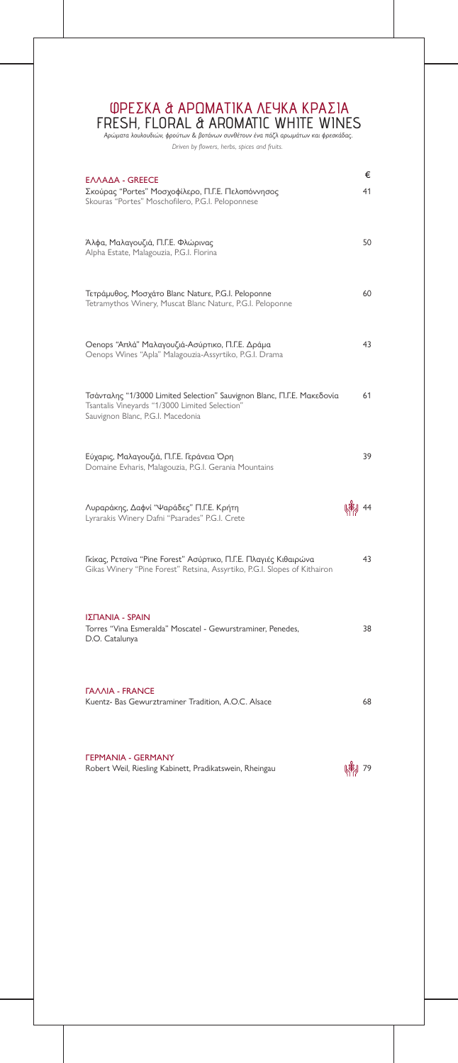Robert Weil, Riesling Kabinett, Pradikatswein, Rheingau **1988–1988** 1998–1988<br>Robert Weil, Riesling Kabinett, Pradikatswein, Rheingau ΓΕΡΜΑΝΙΑ - GERMANY



| EΛΛΑΔΑ - GREECE<br>Σκούρας "Portes" Μοσχοφίλερο, Π.Γ.Ε. Πελοπόννησος<br>Skouras "Portes" Moschofilero, P.G.I. Peloponnese                                     | €<br>41 |
|---------------------------------------------------------------------------------------------------------------------------------------------------------------|---------|
| Άλφα, Μαλαγουζιά, Π.Γ.Ε. Φλώρινας<br>Alpha Estate, Malagouzia, P.G.I. Florina                                                                                 | 50      |
| Τετράμυθος, Μοσχάτο Blanc Naturε, P.G.I. Peloponne<br>Tetramythos Winery, Muscat Blanc Nature, P.G.I. Peloponne                                               | 60      |
| Oenops "Απλά" Μαλαγουζιά-Ασύρτικο, Π.Γ.Ε. Δράμα<br>Oenops Wines "Apla" Malagouzia-Assyrtiko, P.G.I. Drama                                                     | 43      |
| Τσάνταλης "1/3000 Limited Selection" Sauvignon Blanc, Π.Γ.Ε. Μακεδονία<br>Tsantalis Vineyards "1/3000 Limited Selection"<br>Sauvignon Blanc, P.G.I. Macedonia | 61      |
| Εύχαρις, Μαλαγουζιά, Π.Γ.Ε. Γεράνεια Όρη<br>Domaine Evharis, Malagouzia, P.G.I. Gerania Mountains                                                             | 39      |
| Λυραράκης, Δαφνί "Ψαράδες" Π.Γ.Ε. Κρήτη<br>Lyrarakis Winery Dafni "Psarades" P.G.I. Crete                                                                     |         |
| Γκίκας, Ρετσίνα "Pine Forest" Ασύρτικο, Π.Γ.Ε. Πλαγιές Κιθαιρώνα<br>Gikas Winery "Pine Forest" Retsina, Assyrtiko, P.G.I. Slopes of Kithairon                 | 43      |
| ΙΣΠΑΝΙΑ - SPAIN<br>Torres "Vina Esmeralda" Moscatel - Gewurstraminer, Penedes,<br>D.O. Catalunya                                                              | 38      |
| <b><i>FAAAIA - FRANCE</i></b><br>Kuentz- Bas Gewurztraminer Tradition, A.O.C. Alsace                                                                          | 68      |

*Αρώματα λουλουδιών, φρούτων & βοτάνων συνθέτουν ένα πάζλ αρωμάτων και φρεσκάδας.*

*Driven by flowers, herbs, spices and fruits.* 

### ΦΡΕΣΚΑ & ΑΡΩΜΑΤΙΚΑ ΛΕΥΚΑ ΚΡΑΣΙΑ FRESH, FLORAL & AROMATIC WHITE WINES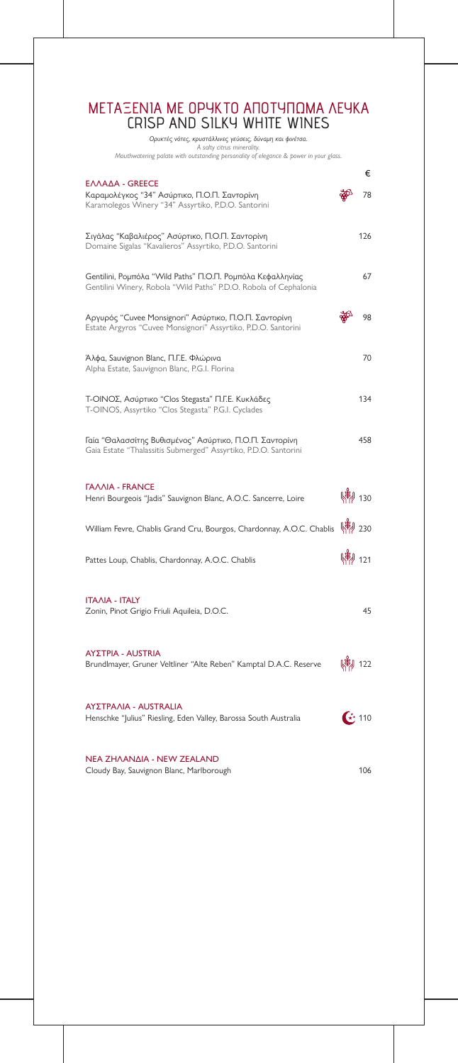Cloudy Bay, Sauvignon Blanc, Marlborough 106 ΝΕΑ ΖΗΛΑΝΔΙΑ - NEW ZEALAND

|                                                                                                                                 |         | €   |
|---------------------------------------------------------------------------------------------------------------------------------|---------|-----|
| ΕΛΛΑΔΑ - GREECE<br>Καραμολέγκος "34" Ασύρτικο, Π.Ο.Π. Σαντορίνη<br>Karamolegos Winery "34" Assyrtiko, P.D.O. Santorini          |         | 78  |
| Σιγάλας "Καβαλιέρος" Ασύρτικο, Π.Ο.Π. Σαντορίνη<br>Domaine Sigalas "Kavalieros" Assyrtiko, P.D.O. Santorini                     |         | 126 |
| Gentilini, Ρομπόλα "Wild Paths" Π.Ο.Π. Ρομπόλα Κεφαλληνίας<br>Gentilini Winery, Robola "Wild Paths" P.D.O. Robola of Cephalonia |         | 67  |
| Αργυρός "Cuvee Monsignori" Ασύρτικο, Π.Ο.Π. Σαντορίνη<br>Estate Argyros "Cuvee Monsignori" Assyrtiko, P.D.O. Santorini          |         | 98  |
| Άλφα, Sauvignon Blanc, Π.Γ.Ε. Φλώρινα<br>Alpha Estate, Sauvignon Blanc, P.G.I. Florina                                          |         | 70  |
| Τ-ΟΙΝΟΣ, Ασύρτικο "Clos Stegasta" Π.Γ.Ε. Κυκλάδες<br>T-OINOS, Assyrtiko "Clos Stegasta" P.G.I. Cyclades                         |         | 134 |
| Γαία "Θαλασσίτης Βυθισμένος" Ασύρτικο, Π.Ο.Π. Σαντορίνη<br>Gaia Estate "Thalassitis Submerged" Assyrtiko, P.D.O. Santorini      |         | 458 |
| <b><i>TAAAIA - FRANCE</i></b><br>Henri Bourgeois "Jadis" Sauvignon Blanc, A.O.C. Sancerre, Loire                                |         | 30  |
| William Fevre, Chablis Grand Cru, Bourgos, Chardonnay, A.O.C. Chablis (14) 230                                                  |         |     |
| Pattes Loup, Chablis, Chardonnay, A.O.C. Chablis                                                                                | 牌 121   |     |
| <b>ITAAIA - ITALY</b><br>Zonin, Pinot Grigio Friuli Aquileia, D.O.C.                                                            |         | 45  |
| <b>ΑΥΣΤΡΙΑ - AUSTRIA</b><br>Brundlmayer, Gruner Veltliner "Alte Reben" Kamptal D.A.C. Reserve                                   | (常) 122 |     |
| ΑΥΣΤΡΑΛΙΑ - AUSTRALIA<br>Henschke "Julius" Riesling, Eden Valley, Barossa South Australia                                       |         | 110 |

*Ορυκτές νότες, κρυστάλλινες γεύσεις, δύναμη και φινέτσα. A salty citrus minerality. Mouthwatering palate with outstanding personality of elegance & power in your glass.*

### ΜΕΤΑΞΕΝΙΑ ΜΕ ΟΡΥΚΤΟ ΑΠΟΤΥΠΩΜΑ ΛΕΥΚΑ CRISP AND SILKY WHITE WINES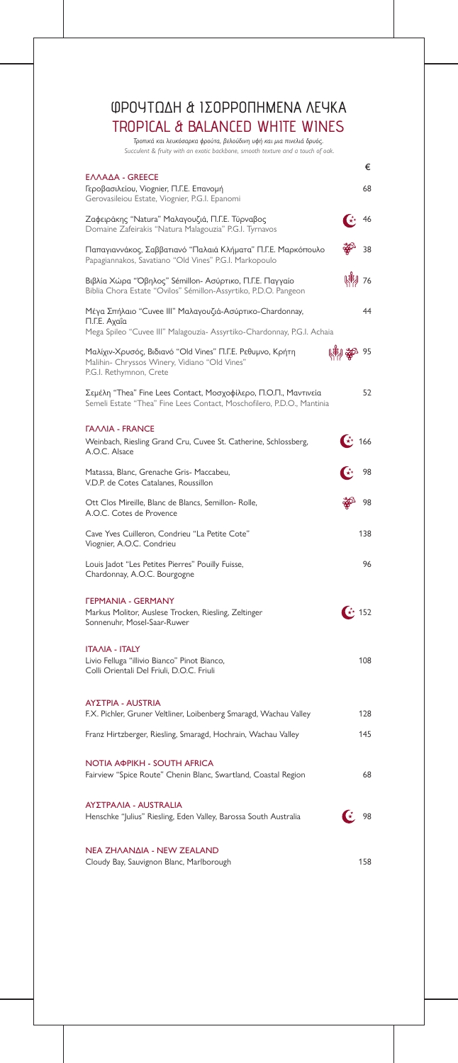|                                                                                                                                                     |                                                | €                      |
|-----------------------------------------------------------------------------------------------------------------------------------------------------|------------------------------------------------|------------------------|
| ΕΛΛΑΔΑ - GREECE<br>Γεροβασιλείου, Viognier, Π.Γ.Ε. Επανομή<br>Gerovasileiou Estate, Viognier, P.G.I. Epanomi                                        |                                                | 68                     |
| Ζαφειράκης "Natura" Μαλαγουζιά, Π.Γ.Ε. Τύρναβος<br>Domaine Zafeirakis "Natura Malagouzia" P.G.I. Tyrnavos                                           | $\left( \frac{1}{K} \times \mathbb{R} \right)$ | 46                     |
| Παπαγιαννάκος, Σαββατιανό "Παλαιά Κλήματα" Π.Γ.Ε. Μαρκόπουλο<br>Papagiannakos, Savatiano "Old Vines" P.G.I. Markopoulo                              |                                                | 38                     |
| Βιβλία Χώρα "Όβηλος" Sémillon- Ασύρτικο, Π.Γ.Ε. Παγγαίο<br>Biblia Chora Estate "Ovilos" Sémillon-Assyrtiko, P.D.O. Pangeon                          |                                                | (常) 76                 |
| Μέγα Σπήλαιο "Cuvee III" Μαλαγουζιά-Ασύρτικο-Chardonnay,<br>Π.Γ.Ε. Αχαΐα<br>Mega Spileo "Cuvee III" Malagouzia- Assyrtiko-Chardonnay, P.G.I. Achaia |                                                | 44                     |
| Μαλίχιν-Χρυσός, Βιδιανό "Old Vines" Π.Γ.Ε. Ρεθυμνο, Κρήτη<br>Malihin- Chryssos Winery, Vidiano "Old Vines"<br>P.G.I. Rethymnon, Crete               | 爛繁 95                                          |                        |
| Σεμέλη "Thea" Fine Lees Contact, Μοσχοφίλερο, Π.Ο.Π., Μαντινεία<br>Semeli Estate "Thea" Fine Lees Contact, Moschofilero, P.D.O., Mantinia           |                                                | 52                     |
| <b><i>TAAAIA - FRANCE</i></b><br>Weinbach, Riesling Grand Cru, Cuvee St. Catherine, Schlossberg,<br>A.O.C. Alsace                                   |                                                | $\downarrow \star$ 166 |
| Matassa, Blanc, Grenache Gris- Maccabeu,<br>V.D.P. de Cotes Catalanes, Roussillon                                                                   |                                                | 98                     |
| Ott Clos Mireille, Blanc de Blancs, Semillon- Rolle,<br>A.O.C. Cotes de Provence                                                                    |                                                | 98                     |
| Cave Yves Cuilleron, Condrieu "La Petite Cote"<br>Viognier, A.O.C. Condrieu                                                                         |                                                | 138                    |
| Louis Jadot "Les Petites Pierres" Pouilly Fuisse,<br>Chardonnay, A.O.C. Bourgogne                                                                   |                                                | 96                     |
| <b><i>FEPMANIA - GERMANY</i></b><br>Markus Molitor, Auslese Trocken, Riesling, Zeltinger<br>Sonnenuhr, Mosel-Saar-Ruwer                             |                                                | $\star$ 152            |
| <b>ITAAIA - ITALY</b><br>Livio Felluga "illivio Bianco" Pinot Bianco,<br>Colli Orientali Del Friuli, D.O.C. Friuli                                  |                                                | 108                    |
| <b>ΑΥΣΤΡΙΑ - AUSTRIA</b><br>F.X. Pichler, Gruner Veltliner, Loibenberg Smaragd, Wachau Valley                                                       |                                                | 128                    |
| Franz Hirtzberger, Riesling, Smaragd, Hochrain, Wachau Valley                                                                                       |                                                | 145                    |

#### ΑΥΣΤΡΑΛΙΑ - AUSTRALIA

Henschke "Julius" Riesling, Eden Valley, Barossa South Australia  $\left(\begin{array}{cc} \star & 98 \end{array}\right)$ 

#### ΝΟΤΙΑ ΑΦΡΙΚΗ - SOUTH AFRICA

Cloudy Bay, Sauvignon Blanc, Marlborough 158



#### ΝΕΑ ΖΗΛΑΝΔΙΑ - NEW ZEALAND

*Τροπικά και λευκόσαρκα φρούτα, βελούδινη υφή και μια πινελιά δρυός. Succulent & fruity with an exotic backbone, smooth texture and a touch of oak.*

# ΦΡΟΥΤΩΔΗ & ΙΣΟΡΡΟΠΗΜΕΝΑ ΛΕΥΚΑ TROPICAL & BALANCED WHITE WINES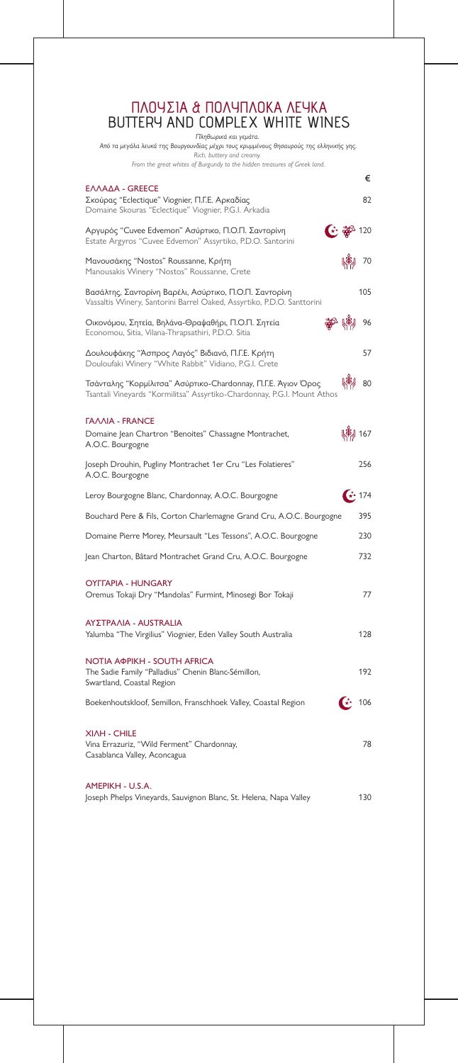|                                                                                                                                                       |                              | €           |
|-------------------------------------------------------------------------------------------------------------------------------------------------------|------------------------------|-------------|
| ΕΛΛΑΔΑ - GREECE<br>Σκούρας "Eclectique" Viognier, Π.Γ.Ε. Αρκαδίας<br>Domaine Skouras "Eclectique" Viognier, P.G.I. Arkadia                            |                              | 82          |
| $\bigoplus_{i=1}^{n} \frac{1}{2}$<br>Αργυρός "Cuvee Edvemon" Ασύρτικο, Π.Ο.Π. Σαντορίνη<br>Estate Argyros "Cuvee Edvemon" Assyrtiko, P.D.O. Santorini |                              |             |
| Μανουσάκης "Nostos" Roussanne, Κρήτη<br>Manousakis Winery "Nostos" Roussanne, Crete                                                                   |                              | 70          |
| Βασάλτης, Σαντορίνη Βαρέλι, Ασύρτικο, Π.Ο.Π. Σαντορίνη<br>Vassaltis Winery, Santorini Barrel Oaked, Assyrtiko, P.D.O. Santtorini                      |                              | 105         |
| 鄱 (剃 96<br>Οικονόμου, Σητεία, Βηλάνα-Θραψαθήρι, Π.Ο.Π. Σητεία<br>Economou, Sitia, Vilana-Thrapsathiri, P.D.O. Sitia                                   |                              |             |
| Δουλουφάκης "Άσπρος Λαγός" Βιδιανό, Π.Γ.Ε. Κρήτη<br>Douloufaki Winery "White Rabbit" Vidiano, P.G.I. Crete                                            |                              | 57          |
| Τσάνταλης "Κορμίλιτσα" Ασύρτικο-Chardonnay, Π.Γ.Ε. Άγιον Όρος<br>Tsantali Vineyards "Kormilitsa" Assyrtiko-Chardonnay, P.G.I. Mount Athos             | <b>KA)</b>                   | 80          |
| <b><i>TAAAIA - FRANCE</i></b><br>Domaine Jean Chartron "Benoites" Chassagne Montrachet,<br>A.O.C. Bourgogne                                           |                              | (崩) 167     |
| Joseph Drouhin, Pugliny Montrachet 1er Cru "Les Folatieres"<br>A.O.C. Bourgogne                                                                       |                              | 256         |
| Leroy Bourgogne Blanc, Chardonnay, A.O.C. Bourgogne                                                                                                   |                              | $\star$ 174 |
| Bouchard Pere & Fils, Corton Charlemagne Grand Cru, A.O.C. Bourgogne                                                                                  |                              | 395         |
| Domaine Pierre Morey, Meursault "Les Tessons", A.O.C. Bourgogne                                                                                       |                              | 230         |
| Jean Charton, Bâtard Montrachet Grand Cru, A.O.C. Bourgogne                                                                                           |                              | 732         |
| <b>OYFFAPIA - HUNGARY</b><br>Oremus Tokaji Dry "Mandolas" Furmint, Minosegi Bor Tokaji                                                                |                              | 77          |
| ΑΥΣΤΡΑΛΙΑ - AUSTRALIA<br>Yalumba "The Virgilius" Viognier, Eden Valley South Australia                                                                |                              | 128         |
| <b>NOTIA АФРІКН - SOUTH AFRICA</b><br>The Sadie Family "Palladius" Chenin Blanc-Sémillon,<br>Swartland, Coastal Region                                |                              | 192         |
| Boekenhoutskloof, Semillon, Franschhoek Valley, Coastal Region                                                                                        | $\left( \frac{1}{2} \right)$ | 106         |
| <b>XIAH - CHILE</b><br>Vina Errazuriz, "Wild Ferment" Chardonnay,                                                                                     |                              | 78          |

Casablanca Valley, Aconcagua

Joseph Phelps Vineyards, Sauvignon Blanc, St. Helena, Napa Valley 130

#### ΑΜΕΡΙΚΗ - U.S.A.

*Πληθωρικά και γεμάτα.* 

*Από τα μεγάλα λευκά της Βουργουνδίας μέχρι τους κρυμμένους θησαυρούς της ελληνικής γης. Rich, buttery and creamy. From the great whites of Burgundy to the hidden treasures of Greek land.*

### ΠΛΟΥΣΙΑ & ΠΟΛΥΠΛΟΚΑ ΛΕΥΚΑ BUTTERY AND COMPLEX WHITE WINES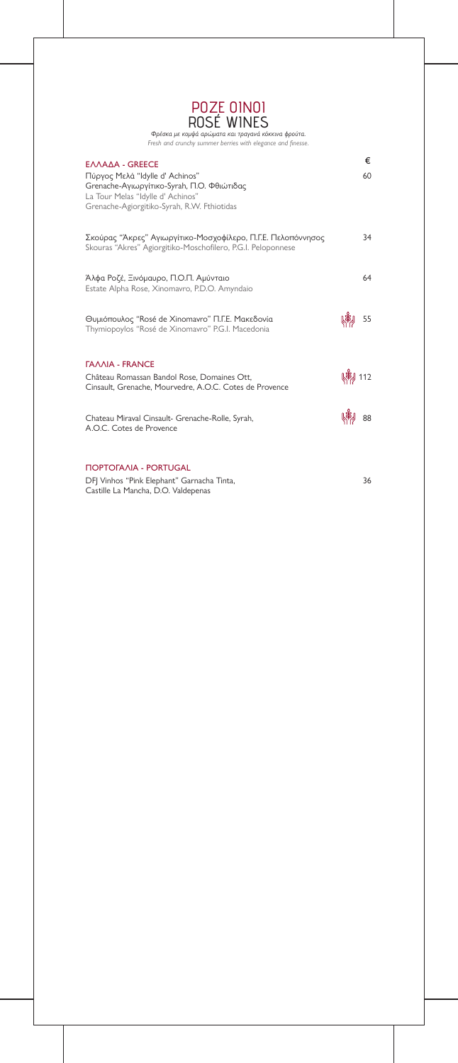| EΛΛΑΔΑ - GREECE<br>Πύργος Μελά "Idylle d' Achinos"<br>Grenache-Αγιωργίτικο-Syrah, Π.Ο. Φθιώτιδας<br>La Tour Melas "Idylle d' Achinos"<br>Grenache-Agiorgitiko-Syrah, R.W. Fthiotidas |         | €<br>60 |
|--------------------------------------------------------------------------------------------------------------------------------------------------------------------------------------|---------|---------|
| Σκούρας "Άκρες" Αγιωργίτικο-Μοσχοφίλερο, Π.Γ.Ε. Πελοπόννησος<br>Skouras "Akres" Agiorgitiko-Moschofilero, P.G.I. Peloponnese                                                         |         | 34      |
| Άλφα Ροζέ, Ξινόμαυρο, Π.Ο.Π. Αμύνταιο<br>Estate Alpha Rose, Xinomavro, P.D.O. Amyndaio                                                                                               |         | 64      |
| Θυμιόπουλος "Rosé de Xinomavro" Π.Γ.Ε. Μακεδονία<br>Thymiopoylos "Rosé de Xinomavro" P.G.I. Macedonia                                                                                |         | 55      |
| <b><i>FAAAIA - FRANCE</i></b><br>Château Romassan Bandol Rose, Domaines Ott,<br>Cinsault, Grenache, Mourvedre, A.O.C. Cotes de Provence                                              | (崩) 112 |         |
| Chateau Miraval Cinsault- Grenache-Rolle, Syrah,<br>A.O.C. Cotes de Provence                                                                                                         |         | 88      |
| <b><i>NOPTOFAAIA - PORTUGAL</i></b>                                                                                                                                                  |         |         |

*Φρέσκα με κομψά αρώματα και τραγανά κόκκινα φρούτα.* Fresh and crunchy summer berries with elegance and finesse.

DFJ Vinhos "Pink Elephant" Garnacha Tinta, Castille La Mancha, D.O. Valdepenas

36

ΡΟΖΕ ΟΙΝΟΙ ROSÉ WINES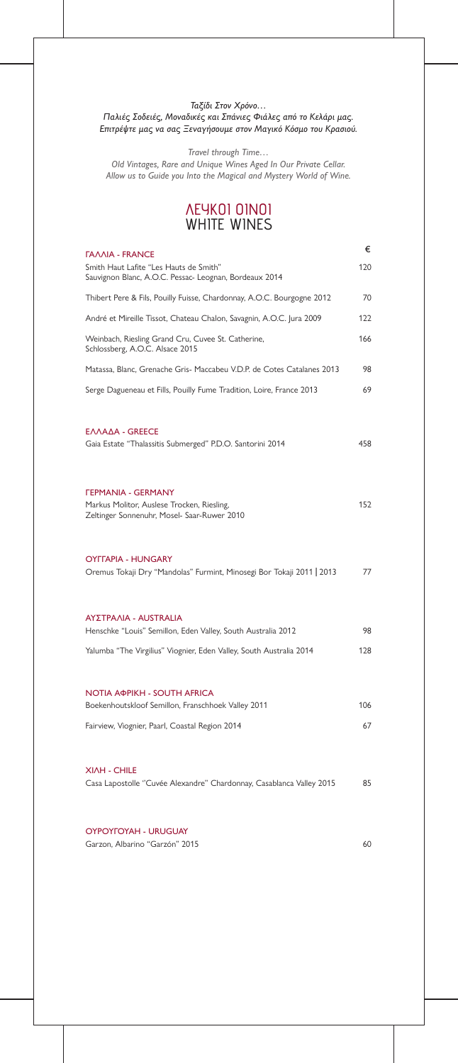| <b><i>FAAAIA - FRANCE</i></b>                                                                                                 | €   |
|-------------------------------------------------------------------------------------------------------------------------------|-----|
| Smith Haut Lafite "Les Hauts de Smith"<br>Sauvignon Blanc, A.O.C. Pessac- Leognan, Bordeaux 2014                              | 120 |
| Thibert Pere & Fils, Pouilly Fuisse, Chardonnay, A.O.C. Bourgogne 2012                                                        | 70  |
| André et Mireille Tissot, Chateau Chalon, Savagnin, A.O.C. Jura 2009                                                          | 122 |
| Weinbach, Riesling Grand Cru, Cuvee St. Catherine,<br>Schlossberg, A.O.C. Alsace 2015                                         | 166 |
| Matassa, Blanc, Grenache Gris- Maccabeu V.D.P. de Cotes Catalanes 2013                                                        | 98  |
| Serge Dagueneau et Fills, Pouilly Fume Tradition, Loire, France 2013                                                          | 69  |
| EΛΛΑΔΑ - GREECE<br>Gaia Estate "Thalassitis Submerged" P.D.O. Santorini 2014                                                  | 458 |
| <b><i>FEPMANIA - GERMANY</i></b><br>Markus Molitor, Auslese Trocken, Riesling,<br>Zeltinger Sonnenuhr, Mosel- Saar-Ruwer 2010 | 152 |
| <b>OYFFAPIA - HUNGARY</b><br>Oremus Tokaji Dry "Mandolas" Furmint, Minosegi Bor Tokaji 2011   2013                            | 77  |
| <b>ΑΥΣΤΡΑΛΙΑ - AUSTRALIA</b><br>Henschke "Louis" Semillon, Eden Valley, South Australia 2012                                  | 98  |
| Yalumba "The Virgilius" Viognier, Eden Valley, South Australia 2014                                                           | 128 |
| <b>NOTIA AOPIKH - SOUTH AFRICA</b><br>Boekenhoutskloof Semillon, Franschhoek Valley 2011                                      | 106 |
|                                                                                                                               |     |
| Fairview, Viognier, Paarl, Coastal Region 2014                                                                                | 67  |

#### Casa Lapostolle ''Cuvée Alexandre'' Chardonnay, Casablanca Valley 2015 85

#### ΟΥΡΟΥΓΟΥΑΗ - URUGUAY

Garzon, Albarino "Garzón" 2015 **60** 

#### *Ταξίδι Στον Χρόνο… Παλιές Σοδειές, Μοναδικές και Σπάνιες Φιάλες από το Κελάρι μας. Επιτρέψτε μας να σας Ξεναγήσουμε στον Μαγικό Κόσμο του Κρασιού.*

*Travel through Time…*

*Old Vintages, Rare and Unique Wines Aged In Our Private Cellar. Allow us to Guide you Into the Magical and Mystery World of Wine.*

### ΛΕΥΚΟΙ ΟΙΝΟΙ WHITE WINES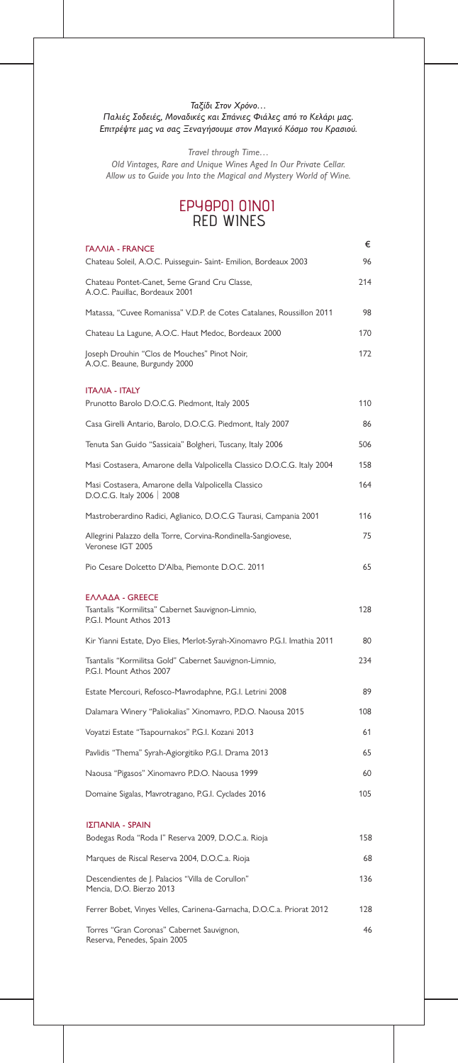| <b><i>FAAAIA - FRANCE</i></b>                                                                   | €   |
|-------------------------------------------------------------------------------------------------|-----|
| Chateau Soleil, A.O.C. Puisseguin- Saint- Emilion, Bordeaux 2003                                | 96  |
| Chateau Pontet-Canet, 5eme Grand Cru Classe,<br>A.O.C. Pauillac, Bordeaux 2001                  | 214 |
| Matassa, "Cuvee Romanissa" V.D.P. de Cotes Catalanes, Roussillon 2011                           | 98  |
| Chateau La Lagune, A.O.C. Haut Medoc, Bordeaux 2000                                             | 170 |
| Joseph Drouhin "Clos de Mouches" Pinot Noir,<br>A.O.C. Beaune, Burgundy 2000                    | 172 |
| <b>ITAAIA - ITALY</b><br>Prunotto Barolo D.O.C.G. Piedmont, Italy 2005                          | 110 |
| Casa Girelli Antario, Barolo, D.O.C.G. Piedmont, Italy 2007                                     | 86  |
| Tenuta San Guido "Sassicaia" Bolgheri, Tuscany, Italy 2006                                      | 506 |
| Masi Costasera, Amarone della Valpolicella Classico D.O.C.G. Italy 2004                         | 158 |
| Masi Costasera, Amarone della Valpolicella Classico<br>D.O.C.G. Italy 2006   2008               | 164 |
| Mastroberardino Radici, Aglianico, D.O.C.G Taurasi, Campania 2001                               | 116 |
| Allegrini Palazzo della Torre, Corvina-Rondinella-Sangiovese,<br>Veronese IGT 2005              | 75  |
| Pio Cesare Dolcetto D'Alba, Piemonte D.O.C. 2011                                                | 65  |
| ΕΛΛΑΔΑ - GREECE<br>Tsantalis "Kormilitsa" Cabernet Sauvignon-Limnio,<br>P.G.I. Mount Athos 2013 | 128 |
| Kir Yianni Estate, Dyo Elies, Merlot-Syrah-Xinomavro P.G.I. Imathia 2011                        | 80  |
| Tsantalis "Kormilitsa Gold" Cabernet Sauvignon-Limnio,<br>P.G.I. Mount Athos 2007               | 234 |
| Estate Mercouri, Refosco-Mavrodaphne, P.G.I. Letrini 2008                                       | 89  |
| Dalamara Winery "Paliokalias" Xinomavro, P.D.O. Naousa 2015                                     | 108 |
| Voyatzi Estate "Tsapournakos" P.G.I. Kozani 2013                                                | 61  |
| Pavlidis "Thema" Syrah-Agiorgitiko P.G.I. Drama 2013                                            | 65  |

#### *Ταξίδι Στον Χρόνο… Παλιές Σοδειές, Μοναδικές και Σπάνιες Φιάλες από το Κελάρι μας. Επιτρέψτε μας να σας Ξεναγήσουμε στον Μαγικό Κόσμο του Κρασιού.*

*Travel through Time…*

*Old Vintages, Rare and Unique Wines Aged In Our Private Cellar. Allow us to Guide you Into the Magical and Mystery World of Wine.*

| Naousa "Pigasos" Xinomavro P.D.O. Naousa 1999                                | 60  |
|------------------------------------------------------------------------------|-----|
| Domaine Sigalas, Mavrotragano, P.G.I. Cyclades 2016                          | 105 |
| ΙΣΠΑΝΙΑ - SPAIN                                                              |     |
| Bodegas Roda "Roda l" Reserva 2009, D.O.C.a. Rioja                           | 158 |
| Marques de Riscal Reserva 2004, D.O.C.a. Rioja                               | 68  |
| Descendientes de J. Palacios "Villa de Corullon"<br>Mencia, D.O. Bierzo 2013 | 136 |
| Ferrer Bobet, Vinyes Velles, Carinena-Garnacha, D.O.C.a. Priorat 2012        | 128 |
| Torres "Gran Coronas" Cabernet Sauvignon,<br>Reserva, Penedes, Spain 2005    | 46  |

### ΕΡΥΘΡΟΙ ΟΙΝΟΙ RED WINES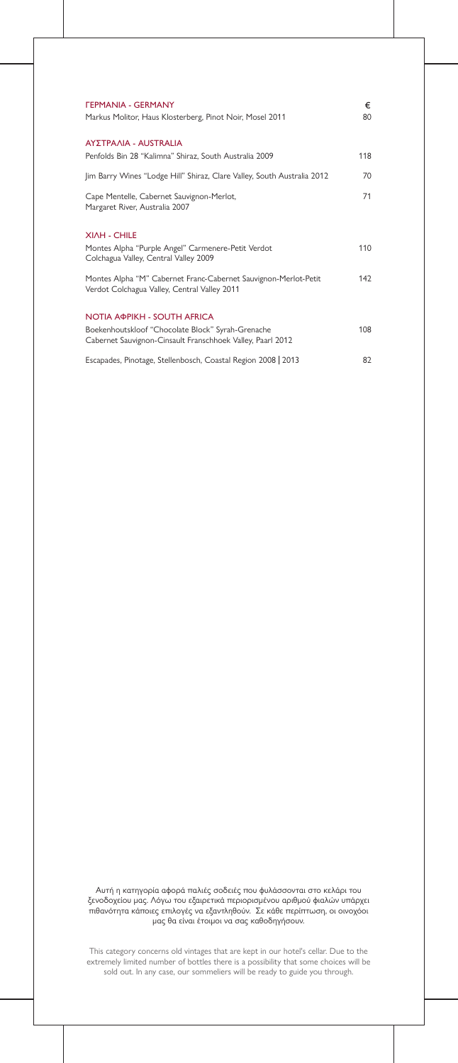| <b><i>FEPMANIA - GERMANY</i></b>                                                                                | €   |
|-----------------------------------------------------------------------------------------------------------------|-----|
| Markus Molitor, Haus Klosterberg, Pinot Noir, Mosel 2011                                                        | 80  |
| ΑΥΣΤΡΑΛΙΑ - AUSTRALIA                                                                                           |     |
| Penfolds Bin 28 "Kalimna" Shiraz, South Australia 2009                                                          | 118 |
| Jim Barry Wines "Lodge Hill" Shiraz, Clare Valley, South Australia 2012                                         | 70  |
| Cape Mentelle, Cabernet Sauvignon-Merlot,<br>Margaret River, Australia 2007                                     | 71  |
| <b>XIAH - CHILE</b>                                                                                             |     |
| Montes Alpha "Purple Angel" Carmenere-Petit Verdot<br>Colchagua Valley, Central Valley 2009                     | 110 |
| Montes Alpha "M" Cabernet Franc-Cabernet Sauvignon-Merlot-Petit<br>Verdot Colchagua Valley, Central Valley 2011 | 142 |
| <b>NOTIA AOPIKH - SOUTH AFRICA</b>                                                                              |     |
| Boekenhoutskloof "Chocolate Block" Syrah-Grenache<br>Cabernet Sauvignon-Cinsault Franschhoek Valley, Paarl 2012 | 108 |
| Escapades, Pinotage, Stellenbosch, Coastal Region 2008   2013                                                   | 82  |

Αυτή η κατηγορία αφορά παλιές σοδειές που φυλάσσονται στο κελάρι του ξενοδοχείου μας. Λόγω του εξαιρετικά περιορισμένου αριθμού φιαλών υπάρχει πιθανότητα κάποιες επιλογές να εξαντληθούν. Σε κάθε περίπτωση, οι οινοχόοι μας θα είναι έτοιμοι να σας καθοδηγήσουν.

This category concerns old vintages that are kept in our hotel's cellar. Due to the extremely limited number of bottles there is a possibility that some choices will be sold out. In any case, our sommeliers will be ready to guide you through.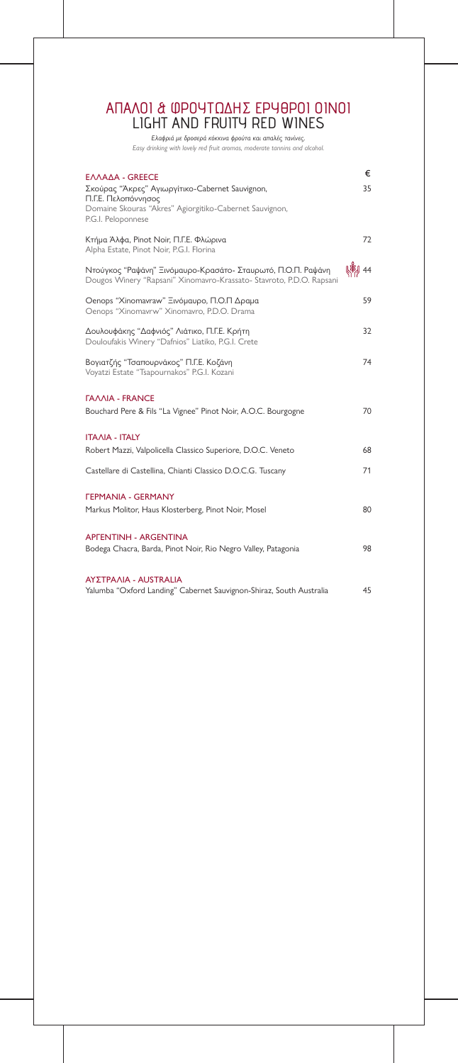| EΛΛΑΔΑ - GREECE<br>Σκούρας "Άκρες" Αγιωργίτικο-Cabernet Sauvignon,<br>Π.Γ.Ε. Πελοπόννησος<br>Domaine Skouras "Akres" Agiorgitiko-Cabernet Sauvignon,<br>P.G.I. Peloponnese | €<br>35 |
|----------------------------------------------------------------------------------------------------------------------------------------------------------------------------|---------|
| Κτήμα Άλφα, Pinot Noir, Π.Γ.Ε. Φλώρινα<br>Alpha Estate, Pinot Noir, P.G.I. Florina                                                                                         | 72      |
| Ντούγκος "Ραψάνη" Ξινόμαυρο-Κρασάτο- Σταυρωτό, Π.Ο.Π. Ραψάνη<br>Dougos Winery "Rapsani" Xinomavro-Krassato- Stavroto, P.D.O. Rapsani                                       | 44      |
| Oenops "Xinomavraw" Ξινόμαυρο, Π.Ο.Π Δραμα<br>Oenops "Xinomavrw" Xinomavro, P.D.O. Drama                                                                                   | 59      |
| Δουλουφάκης "Δαφνιός" Λιάτικο, Π.Γ.Ε. Κρήτη<br>Douloufakis Winery "Dafnios" Liatiko, P.G.I. Crete                                                                          | 32      |
| Βογιατζής "Τσαπουρνάκος" Π.Γ.Ε. Κοζάνη<br>Voyatzi Estate "Tsapournakos" P.G.I. Kozani                                                                                      | 74      |
| <b><i>TAAAIA - FRANCE</i></b><br>Bouchard Pere & Fils "La Vignee" Pinot Noir, A.O.C. Bourgogne                                                                             | 70      |
| <b>ITAAIA - ITALY</b>                                                                                                                                                      |         |
| Robert Mazzi, Valpolicella Classico Superiore, D.O.C. Veneto                                                                                                               | 68      |
| Castellare di Castellina, Chianti Classico D.O.C.G. Tuscany                                                                                                                | 71      |
| <b><i>FEPMANIA - GERMANY</i></b><br>Markus Molitor, Haus Klosterberg, Pinot Noir, Mosel                                                                                    | 80      |
| <b>APFENTINH - ARGENTINA</b><br>Bodega Chacra, Barda, Pinot Noir, Rio Negro Valley, Patagonia                                                                              | 98      |
| AΥΣΤΡΑΛΙΑ - AUSTRALIA<br>Yalumba "Oxford Landing" Cabernet Sauvignon-Shiraz, South Australia                                                                               | 45      |

*Ελαφριά με δροσερά κόκκινα φρούτα και απαλές τανίνες.*

*Easy drinking with lovely red fruit aromas, moderate tannins and alcohol.*

## ΑΠΑΛΟΙ & ΦΡΟΥΤΩΔΗΣ ΕΡΥΘΡΟΙ ΟΙΝΟΙ LIGHT AND FRUITY RED WINES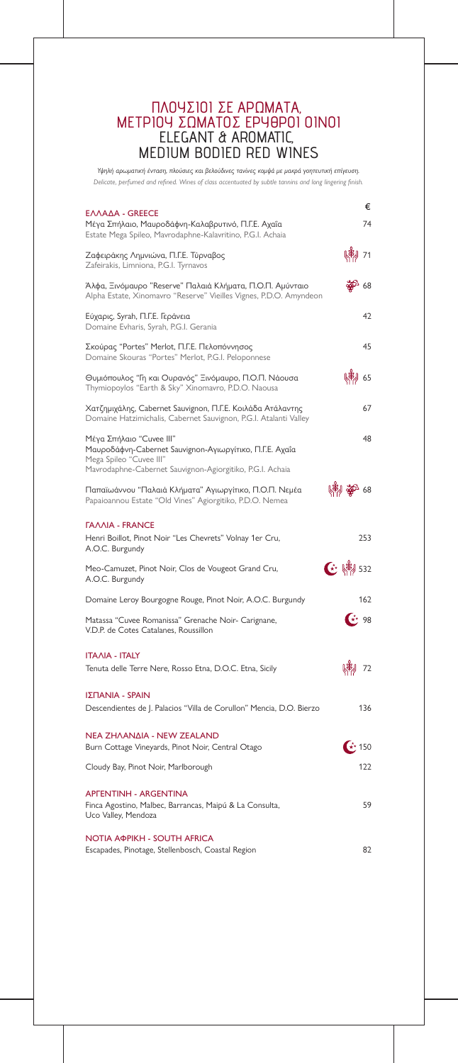| <b>ΕΛΛΑΔΑ - GREECE</b>                                                                                                                                                      |                                                                                                                                                                                                                                                                                                                                                                                                       | €    |
|-----------------------------------------------------------------------------------------------------------------------------------------------------------------------------|-------------------------------------------------------------------------------------------------------------------------------------------------------------------------------------------------------------------------------------------------------------------------------------------------------------------------------------------------------------------------------------------------------|------|
| Μέγα Σπήλαιο, Μαυροδάφνη-Καλαβρυτινό, Π.Γ.Ε. Αχαΐα<br>Estate Mega Spileo, Mavrodaphne-Kalavritino, P.G.I. Achaia                                                            |                                                                                                                                                                                                                                                                                                                                                                                                       | 74   |
| Ζαφειράκης Λημνιώνα, Π.Γ.Ε. Τύρναβος<br>Zafeirakis, Limniona, P.G.I. Tyrnavos                                                                                               |                                                                                                                                                                                                                                                                                                                                                                                                       | $71$ |
| Άλφα, Ξινόμαυρο "Reserve" Παλαιά Κλήματα, Π.Ο.Π. Αμύνταιο<br>Alpha Estate, Xinomavro "Reserve" Vieilles Vignes, P.D.O. Amyndeon                                             |                                                                                                                                                                                                                                                                                                                                                                                                       | 68   |
| Εύχαρις, Syrah, Π.Γ.Ε. Γεράνεια<br>Domaine Evharis, Syrah, P.G.I. Gerania                                                                                                   |                                                                                                                                                                                                                                                                                                                                                                                                       | 42   |
| Σκούρας "Portes" Merlot, Π.Γ.Ε. Πελοπόννησος<br>Domaine Skouras "Portes" Merlot, P.G.I. Peloponnese                                                                         |                                                                                                                                                                                                                                                                                                                                                                                                       | 45   |
| Θυμιόπουλος "Γη και Ουρανός" Ξινόμαυρο, Π.Ο.Π. Νάουσα<br>Thymiopoylos "Earth & Sky" Xinomavro, P.D.O. Naousa                                                                |                                                                                                                                                                                                                                                                                                                                                                                                       | 65   |
| Χατζημιχάλης, Cabernet Sauvignon, Π.Γ.Ε. Κοιλάδα Ατάλαντης<br>Domaine Hatzimichalis, Cabernet Sauvignon, P.G.I. Atalanti Valley                                             |                                                                                                                                                                                                                                                                                                                                                                                                       | 67   |
| Μέγα Σπήλαιο "Cuvee III"<br>Μαυροδάφνη-Cabernet Sauvignon-Αγιωργίτικο, Π.Γ.Ε. Αχαΐα<br>Mega Spileo "Cuvee III"<br>Mavrodaphne-Cabernet Sauvignon-Agiorgitiko, P.G.I. Achaia |                                                                                                                                                                                                                                                                                                                                                                                                       | 48   |
| Παπαϊωάννου "Παλαιά Κλήματα" Αγιωργίτικο, Π.Ο.Π. Νεμέα<br>Papaioannou Estate "Old Vines" Agiorgitiko, P.D.O. Nemea                                                          | 爛 繁 88                                                                                                                                                                                                                                                                                                                                                                                                |      |
| <b><i>TAAAIA - FRANCE</i></b><br>Henri Boillot, Pinot Noir "Les Chevrets" Volnay 1er Cru,<br>A.O.C. Burgundy                                                                |                                                                                                                                                                                                                                                                                                                                                                                                       | 253  |
| Meo-Camuzet, Pinot Noir, Clos de Vougeot Grand Cru,<br>A.O.C. Burgundy                                                                                                      | $C^{\star}$ $\left(\frac{1}{2} + \frac{1}{2} + \frac{1}{2} + \frac{1}{2} + \frac{1}{2} + \frac{1}{2} + \frac{1}{2} + \frac{1}{2} + \frac{1}{2} + \frac{1}{2} + \frac{1}{2} + \frac{1}{2} + \frac{1}{2} + \frac{1}{2} + \frac{1}{2} + \frac{1}{2} + \frac{1}{2} + \frac{1}{2} + \frac{1}{2} + \frac{1}{2} + \frac{1}{2} + \frac{1}{2} + \frac{1}{2} + \frac{1}{2} + \frac{1}{2} + \frac{1}{2} + \frac$ |      |
| Domaine Leroy Bourgogne Rouge, Pinot Noir, A.O.C. Burgundy                                                                                                                  |                                                                                                                                                                                                                                                                                                                                                                                                       | 162  |
| Matassa "Cuvee Romanissa" Grenache Noir- Carignane,<br>V.D.P. de Cotes Catalanes, Roussillon                                                                                | $\left(\stackrel{*}{\star}\right)$ 98                                                                                                                                                                                                                                                                                                                                                                 |      |
| <b>ITAAIA - ITALY</b><br>Tenuta delle Terre Nere, Rosso Etna, D.O.C. Etna, Sicily                                                                                           |                                                                                                                                                                                                                                                                                                                                                                                                       | 72   |
| ΙΣΠΑΝΙΑ - SPAIN<br>Descendientes de J. Palacios "Villa de Corullon" Mencia, D.O. Bierzo                                                                                     |                                                                                                                                                                                                                                                                                                                                                                                                       | 136  |
| <b>NEA ΖΗΛΑΝΔΙΑ - NEW ZEALAND</b><br>Burn Cottage Vineyards, Pinot Noir, Central Otago                                                                                      | $\star$ 150                                                                                                                                                                                                                                                                                                                                                                                           |      |

*Υψηλή αρωματική ένταση, πλούσιες και βελούδινες τανίνες κομψά με μακρά γοητευτική επίγευση.* Delicate, perfumed and refined. Wines of class accentuated by subtle tannins and long lingering finish.

Finca Agostino, Malbec, Barrancas, Maipú & La Consulta, Uco Valley, Mendoza

59

#### ΑΡΓΕΝΤΙΝΗ - ARGENTINA

Cloudy Bay, Pinot Noir, Marlborough

122

Escapades, Pinotage, Stellenbosch, Coastal Region 82

#### ΝΟΤΙΑ ΑΦΡΙΚΗ - SOUTH AFRICA

### ΠΛΟΥΣΙΟΙ ΣΕ ΑΡΩΜΑΤΑ, ΜΕΤΡΙΟΥ ΣΩΜΑΤΟΣ ΕΡΥΘΡΟΙ ΟΙΝΟΙ ELEGANT & AROMATIC, MEDIUM BODIED RED WINES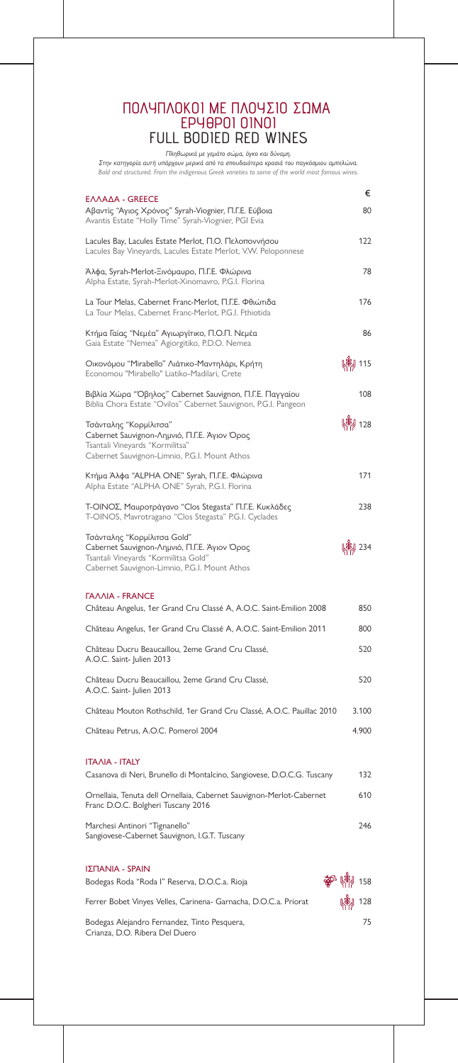| EΛΛΑΔΑ - GREECE                                                                                                                                                      | €               |
|----------------------------------------------------------------------------------------------------------------------------------------------------------------------|-----------------|
| Αβαντίς "Αγιος Χρόνος" Syrah-Viognier, Π.Γ.Ε. Εύβοια<br>Avantis Estate "Holly Time" Syrah-Viognier, PGI Evia                                                         | 80              |
| Lacules Bay, Lacules Estate Merlot, Π.Ο. Πελοποννήσου<br>Lacules Bay Vineyards, Lacules Estate Merlot, V.W. Peloponnese                                              | 122             |
| Άλφα, Syrah-Merlot-Ξινόμαυρο, Π.Γ.Ε. Φλώρινα<br>Alpha Estate, Syrah-Merlot-Xinomavro, P.G.I. Florina                                                                 | 78              |
| La Tour Melas, Cabernet Franc-Merlot, Π.Γ.Ε. Φθιώτιδα<br>La Tour Melas, Cabernet Franc-Merlot, P.G.I. Fthiotida                                                      | 176             |
| Κτήμα Γαίας "Νεμέα" Αγιωργίτικο, Π.Ο.Π. Νεμέα<br>Gaia Estate "Nemea" Agiorgitiko, P.D.O. Nemea                                                                       | 86              |
| Οικονόμου "Mirabello" Λιάτικο-Μαντηλάρι, Κρήτη<br>Economou "Mirabello" Liatiko-Madilari, Crete                                                                       | (勒 115          |
| Βιβλία Χώρα "Όβηλος" Cabernet Sauvignon, Π.Γ.Ε. Παγγαίου<br>Biblia Chora Estate "Ovilos" Cabernet Sauvignon, P.G.I. Pangeon                                          | 108             |
| Τσάνταλης "Κορμίλιτσα"<br>Cabernet Sauvignon-Λημνιό, Π.Γ.Ε. Άγιον Όρος<br>Tsantali Vineyards "Kormilitsa"<br>Cabernet Sauvignon-Limnio, P.G.I. Mount Athos           | (弟) 128         |
| Κτήμα Άλφα "ALPHA ONE" Syrah, Π.Γ.Ε. Φλώρινα<br>Alpha Estate "ALPHA ONE" Syrah, P.G.I. Florina                                                                       | 171             |
| Τ-ΟΙΝΟΣ, Μαυροτράγανο "Clos Stegasta" Π.Γ.Ε. Κυκλάδες<br>T-OINOS, Mavrotragano "Clos Stegasta" P.G.I. Cyclades                                                       | 238             |
| Τσάνταλης "Κορμίλιτσα Gold"<br>Cabernet Sauvignon-Λημνιό, Π.Γ.Ε. Άγιον Όρος<br>Tsantali Vineyards "Kormilitsa Gold"<br>Cabernet Sauvignon-Limnio, P.G.I. Mount Athos | $\frac{1}{234}$ |
| <b><i>FAAAIA - FRANCE</i></b>                                                                                                                                        |                 |
| Château Angelus, 1er Grand Cru Classé A, A.O.C. Saint-Emilion 2008                                                                                                   | 850             |
| Château Angelus, 1er Grand Cru Classé A, A.O.C. Saint-Emilion 2011                                                                                                   | 800             |
| Château Ducru Beaucaillou, 2eme Grand Cru Classé,<br>A.O.C. Saint- Julien 2013                                                                                       | 520             |
| Château Ducru Beaucaillou, 2eme Grand Cru Classé,<br>A.O.C. Saint- Julien 2013                                                                                       | 520             |
| Château Mouton Rothschild, 1er Grand Cru Classé, A.O.C. Pauillac 2010                                                                                                | 3.100           |
| Château Petrus, A.O.C. Pomerol 2004                                                                                                                                  | 4.900           |

Casanova di Neri, Brunello di Montalcino, Sangiovese, D.O.C.G. Tuscany 132

Ornellaia, Tenuta dell Ornellaia, Cabernet Sauvignon-Merlot-Cabernet Franc D.O.C. Bolgheri Tuscany 2016 610

Marchesi Antinori "Tignanello" Sangiovese-Cabernet Sauvignon, I.G.T. Tuscany 246

#### ΙΤΑΛΙΑ - ITALY

Bodegas Roda "Roda I" Reserva, D.O.C.a. Rioja

Ferrer Bobet Vinyes Velles, Carinena- Garnacha, D.O.C.a. Priorat

Bodegas Alejandro Fernandez, Tinto Pesquera, Crianza, D.O. Ribera Del Duero



#### ΙΣΠΑΝΙΑ - SPAIN

*Πληθωρικά με γεμάτο σώμα, όγκο και δύναμη.*

*Στην κατηγορία αυτή υπάρχουν μερικά από τα σπουδαιότερα κρασιά του παγκόσμιου αμπελώνα. Bold and structured. From the indigenous Greek varieties to some of the world most famous wines.*

### ΠΟΛΥΠΛΟΚΟΙ ΜΕ ΠΛΟΥΣΙΟ ΣΩΜΑ ΕΡΥΘΡΟΙ ΟΙΝΟΙ FULL BODIED RED WINES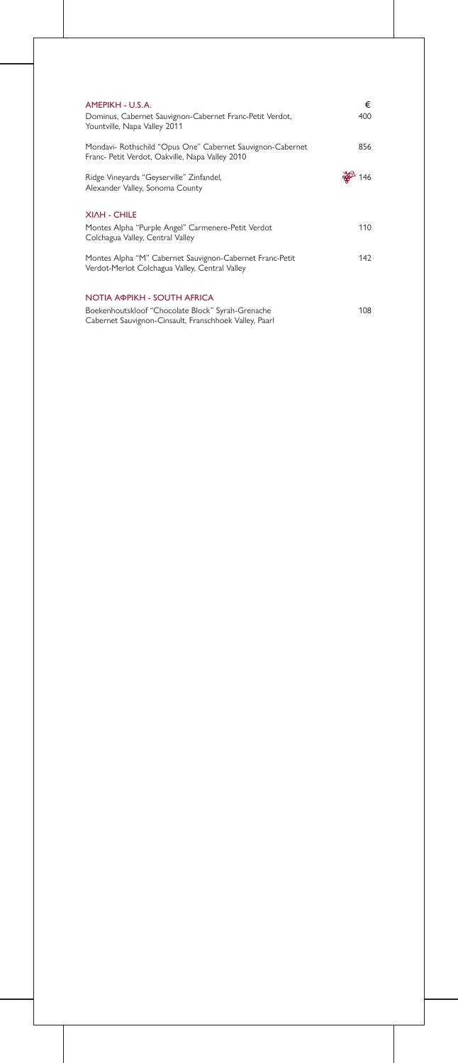| AMEPIKH - U.S.A.<br>Dominus, Cabernet Sauvignon-Cabernet Franc-Petit Verdot,<br>Yountville, Napa Valley 2011  | €<br>400 |
|---------------------------------------------------------------------------------------------------------------|----------|
| Mondavi- Rothschild "Opus One" Cabernet Sauvignon-Cabernet<br>Franc- Petit Verdot, Oakville, Napa Valley 2010 | 856      |
| Ridge Vineyards "Geyserville" Zinfandel,<br>Alexander Valley, Sonoma County                                   |          |
| <b>XIAH - CHILE</b>                                                                                           |          |
| Montes Alpha "Purple Angel" Carmenere-Petit Verdot<br>Colchagua Valley, Central Valley                        | 110      |
| Montes Alpha "M" Cabernet Sauvignon-Cabernet Franc-Petit<br>Verdot-Merlot Colchagua Valley, Central Valley    | 142      |
| NOTIA АФРІКН - SOUTH AFRICA                                                                                   |          |
| Boekenhoutskloof "Chocolate Block" Syrah-Grenache<br>Cabernet Sauvignon-Cinsault, Franschhoek Valley, Paarl   | 108      |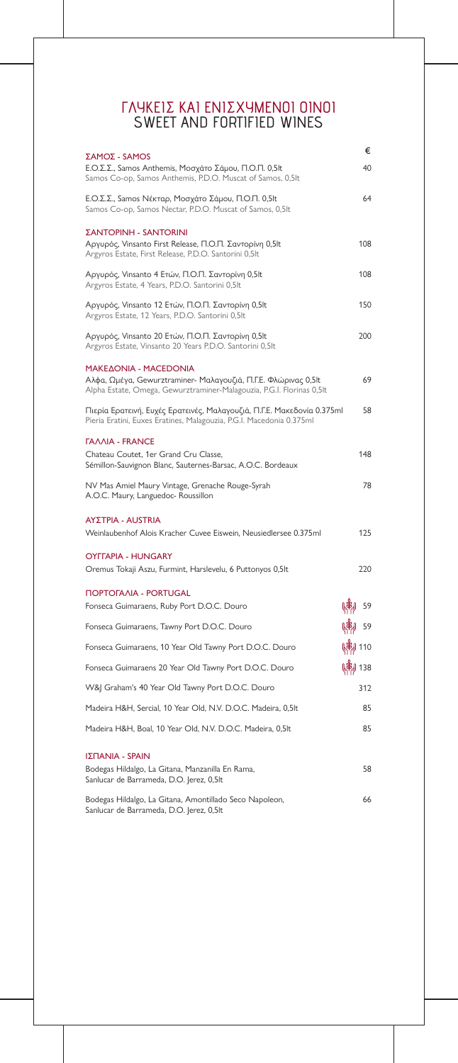| ΣΑΜΟΣ - SAMOS                                                                                                                                                    |                | €   |
|------------------------------------------------------------------------------------------------------------------------------------------------------------------|----------------|-----|
| Ε.Ο.Σ.Σ., Samos Anthemis, Μοσχάτο Σάμου, Π.Ο.Π. 0,5lt<br>Samos Co-op, Samos Anthemis, P.D.O. Muscat of Samos, 0,5lt                                              |                | 40  |
| Ε.Ο.Σ.Σ., Samos Νέκταρ, Μοσχάτο Σάμου, Π.Ο.Π. 0,5lt<br>Samos Co-op, Samos Nectar, P.D.O. Muscat of Samos, 0,5lt                                                  |                | 64  |
| <b>ΣΑΝΤΟΡΙΝΗ - SANTORINI</b><br>Αργυρός, Vinsanto First Release, Π.Ο.Π. Σαντορίνη 0,5lt<br>Argyros Estate, First Release, P.D.O. Santorini 0,5lt                 |                | 108 |
| Αργυρός, Vinsanto 4 Ετών, Π.Ο.Π. Σαντορίνη 0,5lt<br>Argyros Estate, 4 Years, P.D.O. Santorini 0,5lt                                                              |                | 108 |
| Αργυρός, Vinsanto 12 Ετών, Π.Ο.Π. Σαντορίνη 0,5lt<br>Argyros Estate, 12 Years, P.D.O. Santorini 0,5lt                                                            |                | 150 |
| Αργυρός, Vinsanto 20 Ετών, Π.Ο.Π. Σαντορίνη 0,5lt<br>Argyros Estate, Vinsanto 20 Years P.D.O. Santorini 0,5lt                                                    |                | 200 |
| MAKEAONIA - MACEDONIA<br>Αλφα, Ωμέγα, Gewurztraminer- Μαλαγουζιά, Π.Γ.Ε. Φλώρινας 0,5lt<br>Alpha Estate, Omega, Gewurztraminer-Malagouzia, P.G.I. Florinas 0,5lt |                | 69  |
| Πιερία Ερατεινή, Ευχές Ερατεινές, Μαλαγουζιά, Π.Γ.Ε. Μακεδονία 0.375ml<br>Pieria Eratini, Euxes Eratines, Malagouzia, P.G.I. Macedonia 0.375ml                   |                | 58  |
| <b><i>TAAAIA - FRANCE</i></b><br>Chateau Coutet, 1er Grand Cru Classe,<br>Sémillon-Sauvignon Blanc, Sauternes-Barsac, A.O.C. Bordeaux                            |                | 148 |
| NV Mas Amiel Maury Vintage, Grenache Rouge-Syrah<br>A.O.C. Maury, Languedoc- Roussillon                                                                          |                | 78  |
| <b>ΑΥΣΤΡΙΑ - AUSTRIA</b><br>Weinlaubenhof Alois Kracher Cuvee Eiswein, Neusiedlersee 0.375ml                                                                     |                | 125 |
| <b>OYFFAPIA - HUNGARY</b><br>Oremus Tokaji Aszu, Furmint, Harslevelu, 6 Puttonyos 0,5lt                                                                          |                | 220 |
| <b><i>NOPTOFAAIA - PORTUGAL</i></b><br>Fonseca Guimaraens, Ruby Port D.O.C. Douro                                                                                |                | 59  |
| Fonseca Guimaraens, Tawny Port D.O.C. Douro                                                                                                                      |                | 59  |
| Fonseca Guimaraens, 10 Year Old Tawny Port D.O.C. Douro                                                                                                          | <b>\$9</b> 110 |     |
| Fonseca Guimaraens 20 Year Old Tawny Port D.O.C. Douro                                                                                                           | (单) 138        |     |
| W&J Graham's 40 Year Old Tawny Port D.O.C. Douro                                                                                                                 |                | 312 |
| Madeira H&H, Sercial, 10 Year Old, N.V. D.O.C. Madeira, 0,5lt                                                                                                    |                | 85  |
| Madeira H&H, Boal, 10 Year Old, N.V. D.O.C. Madeira, 0,5lt                                                                                                       |                | 85  |
|                                                                                                                                                                  |                |     |

Bodegas Hildalgo, La Gitana, Manzanilla En Rama,

Sanlucar de Barrameda, D.O. Jerez, 0,5lt

Bodegas Hildalgo, La Gitana, Amontillado Seco Napoleon, Sanlucar de Barrameda, D.O. Jerez, 0,5lt 66

#### ΙΣΠΑΝΙΑ - SPAIN

### ΓΛΥΚΕΙΣ ΚΑΙ ΕΝΙΣΧΥΜΕΝΟΙ ΟΙΝΟΙ SWEET AND FORTIFIED WINES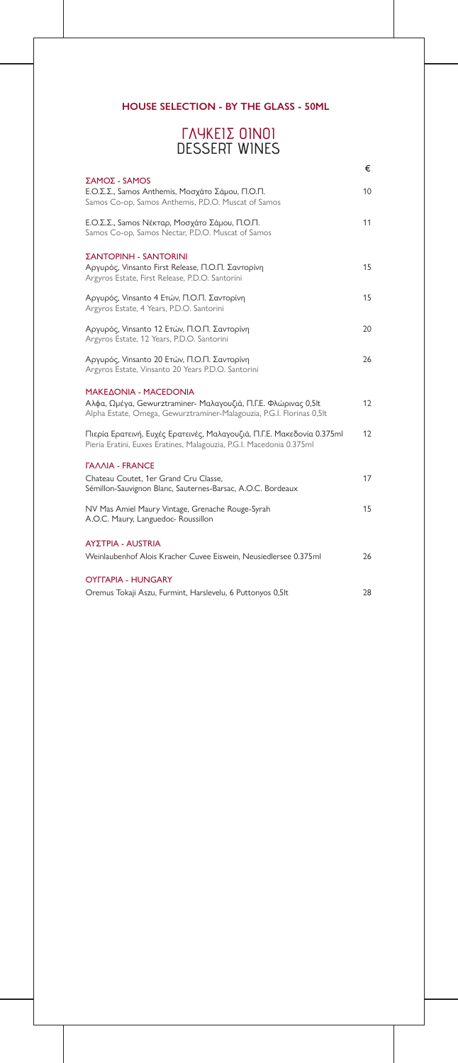|                                                                                                                                                                   | €  |
|-------------------------------------------------------------------------------------------------------------------------------------------------------------------|----|
| ΣΑΜΟΣ - SAMOS<br>Ε.Ο.Σ.Σ., Samos Anthemis, Μοσχάτο Σάμου, Π.Ο.Π.<br>Samos Co-op, Samos Anthemis, P.D.O. Muscat of Samos                                           | 10 |
| Ε.Ο.Σ.Σ., Samos Νέκταρ, Μοσχάτο Σάμου, Π.Ο.Π.<br>Samos Co-op, Samos Nectar, P.D.O. Muscat of Samos                                                                | 11 |
| <b>ΣΑΝΤΟΡΙΝΗ - SANTORINI</b><br>Αργυρός, Vinsanto First Release, Π.Ο.Π. Σαντορίνη<br>Argyros Estate, First Release, P.D.O. Santorini                              | 15 |
| Αργυρός, Vinsanto 4 Ετών, Π.Ο.Π. Σαντορίνη<br>Argyros Estate, 4 Years, P.D.O. Santorini                                                                           | 15 |
| Αργυρός, Vinsanto 12 Ετών, Π.Ο.Π. Σαντορίνη<br>Argyros Estate, 12 Years, P.D.O. Santorini                                                                         | 20 |
| Αργυρός, Vinsanto 20 Ετών, Π.Ο.Π. Σαντορίνη<br>Argyros Estate, Vinsanto 20 Years P.D.O. Santorini                                                                 | 26 |
| MAKE AONIA - MACEDONIA<br>Αλφα, Ωμέγα, Gewurztraminer- Μαλαγουζιά, Π.Γ.Ε. Φλώρινας 0,5lt<br>Alpha Estate, Omega, Gewurztraminer-Malagouzia, P.G.I. Florinas 0,5lt | 12 |
| Πιερία Ερατεινή, Ευχές Ερατεινές, Μαλαγουζιά, Π.Γ.Ε. Μακεδονία 0.375ml<br>Pieria Eratini, Euxes Eratines, Malagouzia, P.G.I. Macedonia 0.375ml                    | 12 |
| <b><i>TAAAIA - FRANCE</i></b><br>Chateau Coutet, 1er Grand Cru Classe,<br>Sémillon-Sauvignon Blanc, Sauternes-Barsac, A.O.C. Bordeaux                             | 17 |
| NV Mas Amiel Maury Vintage, Grenache Rouge-Syrah<br>A.O.C. Maury, Languedoc- Roussillon                                                                           | 15 |
| <b>ΑΥΣΤΡΙΑ - AUSTRIA</b>                                                                                                                                          |    |
| Weinlaubenhof Alois Kracher Cuvee Eiswein, Neusiedlersee 0.375ml                                                                                                  | 26 |
| <b>OYFFAPIA - HUNGARY</b>                                                                                                                                         |    |
| Oremus Tokaji Aszu, Furmint, Harslevelu, 6 Puttonyos 0,5lt                                                                                                        | 28 |

### **HOUSE SELECTION - BY THE GLASS - 50ML**

### ΓΛΥΚΕΙΣ ΟΙΝΟΙ DESSERT WINES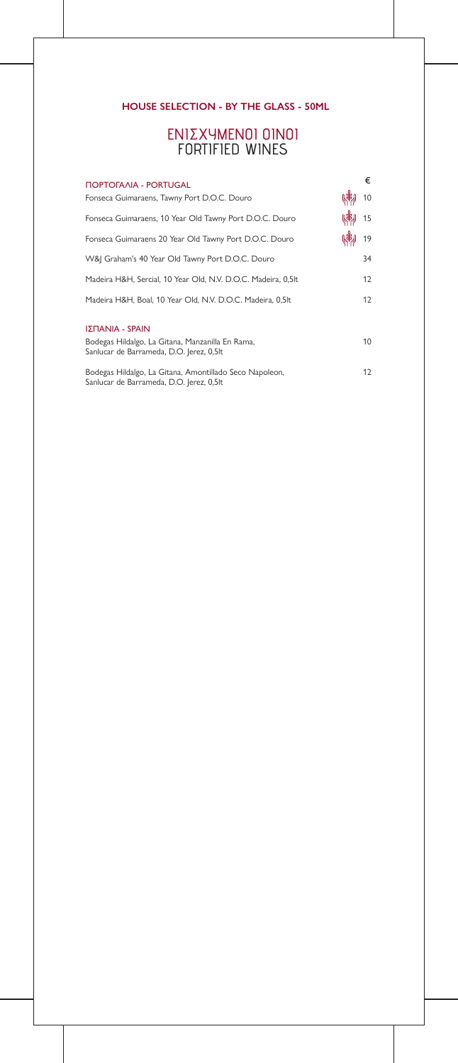### **HOUSE SELECTION - BY THE GLASS - 50ML**

| <b><i>NOPTOFAAIA - PORTUGAL</i></b>                                                                 | €  |
|-----------------------------------------------------------------------------------------------------|----|
| Fonseca Guimaraens, Tawny Port D.O.C. Douro                                                         | 10 |
| Fonseca Guimaraens, 10 Year Old Tawny Port D.O.C. Douro                                             | 15 |
| Fonseca Guimaraens 20 Year Old Tawny Port D.O.C. Douro                                              | 19 |
| W&J Graham's 40 Year Old Tawny Port D.O.C. Douro                                                    | 34 |
| Madeira H&H, Sercial, 10 Year Old, N.V. D.O.C. Madeira, 0,5lt                                       | 12 |
| Madeira H&H, Boal, 10 Year Old, N.V. D.O.C. Madeira, 0,5lt                                          | 12 |
| ΙΣΠΑΝΙΑ - SPAIN                                                                                     |    |
| Bodegas Hildalgo, La Gitana, Manzanilla En Rama,<br>Sanlucar de Barrameda, D.O. Jerez, 0,5lt        | 10 |
| Bodegas Hildalgo, La Gitana, Amontillado Seco Napoleon,<br>Sanlucar de Barrameda, D.O. Jerez, 0,5lt | 12 |

### ΕΝΙΣΧΥΜΕΝΟΙ ΟΙΝΟΙ FORTIFIED WINES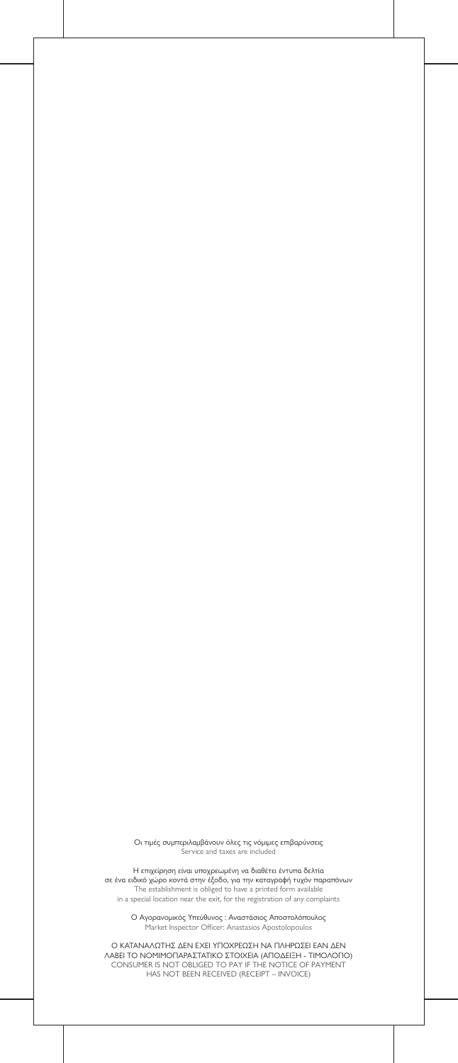Οι τιμές συμπεριλαμβάνουν όλες τις νόμιμες επιβαρύνσεις Service and taxes are included

Ο Αγορανομικός Υπεύθυνος : Αναστάσιος Αποστολόπουλος Market Inspector Officer: Anastasios Apostolopoulos

Η επιχείρηση είναι υποχρεωμένη να διαθέτει έντυπα δελτία σε ένα ειδικό χώρο κοντά στην έξοδο, για την καταγραφή τυχόν παραπόνων The establishment is obliged to have a printed form available in a special location near the exit, for the registration of any complaints

Ο ΚΑΤΑΝΑΛΩΤΗΣ ∆ΕΝ ΕΧΕΙ ΥΠΟΧΡΕΩΣΗ ΝΑ ΠΛΗΡΩΣΕΙ ΕΑΝ ∆ΕΝ ΛΑΒΕΙ ΤΟ ΝΟΜΙΜΟΠΑΡΑΣΤΑΤΙΚΟ ΣΤΟΙΧΕΙΑ (ΑΠΟ∆ΕΙΞΗ - ΤΙΜΟΛΟΓΙΟ) CONSUMER IS NOT OBLIGED TO PAY IF THE NOTICE OF PAYMENT HAS NOT BEEN RECEIVED (RECEIPT – INVOICE)